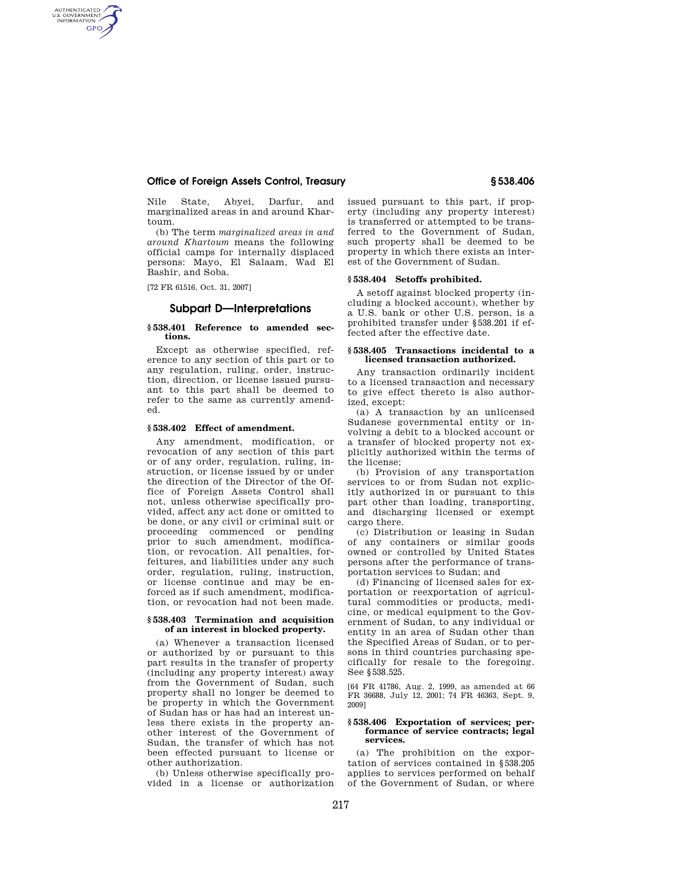# **Office of Foreign Assets Control, Treasury § 538.406**

Nile State, Abyei, Darfur, and marginalized areas in and around Khartoum.

(b) The term *marginalized areas in and around Khartoum* means the following official camps for internally displaced persons: Mayo, El Salaam, Wad El Bashir, and Soba.

[72 FR 61516, Oct. 31, 2007]

AUTHENTICATED<br>U.S. GOVERNMENT<br>INFORMATION **GPO** 

# **Subpart D—Interpretations**

#### **§ 538.401 Reference to amended sections.**

Except as otherwise specified, reference to any section of this part or to any regulation, ruling, order, instruction, direction, or license issued pursuant to this part shall be deemed to refer to the same as currently amended.

## **§ 538.402 Effect of amendment.**

Any amendment, modification, or revocation of any section of this part or of any order, regulation, ruling, instruction, or license issued by or under the direction of the Director of the Office of Foreign Assets Control shall not, unless otherwise specifically provided, affect any act done or omitted to be done, or any civil or criminal suit or proceeding commenced or pending prior to such amendment, modification, or revocation. All penalties, forfeitures, and liabilities under any such order, regulation, ruling, instruction, or license continue and may be enforced as if such amendment, modification, or revocation had not been made.

#### **§ 538.403 Termination and acquisition of an interest in blocked property.**

(a) Whenever a transaction licensed or authorized by or pursuant to this part results in the transfer of property (including any property interest) away from the Government of Sudan, such property shall no longer be deemed to be property in which the Government of Sudan has or has had an interest unless there exists in the property another interest of the Government of Sudan, the transfer of which has not been effected pursuant to license or other authorization.

(b) Unless otherwise specifically provided in a license or authorization issued pursuant to this part, if property (including any property interest) is transferred or attempted to be transferred to the Government of Sudan, such property shall be deemed to be property in which there exists an interest of the Government of Sudan.

### **§ 538.404 Setoffs prohibited.**

A setoff against blocked property (including a blocked account), whether by a U.S. bank or other U.S. person, is a prohibited transfer under §538.201 if effected after the effective date.

#### **§ 538.405 Transactions incidental to a licensed transaction authorized.**

Any transaction ordinarily incident to a licensed transaction and necessary to give effect thereto is also authorized, except:

(a) A transaction by an unlicensed Sudanese governmental entity or involving a debit to a blocked account or a transfer of blocked property not explicitly authorized within the terms of the license;

(b) Provision of any transportation services to or from Sudan not explicitly authorized in or pursuant to this part other than loading, transporting, and discharging licensed or exempt cargo there.

(c) Distribution or leasing in Sudan of any containers or similar goods owned or controlled by United States persons after the performance of transportation services to Sudan; and

(d) Financing of licensed sales for exportation or reexportation of agricultural commodities or products, medicine, or medical equipment to the Government of Sudan, to any individual or entity in an area of Sudan other than the Specified Areas of Sudan, or to persons in third countries purchasing specifically for resale to the foregoing. See §538.525.

[64 FR 41786, Aug. 2, 1999, as amended at 66 FR 36688, July 12, 2001; 74 FR 46363, Sept. 9, 2009]

#### **§ 538.406 Exportation of services; performance of service contracts; legal services.**

(a) The prohibition on the exportation of services contained in §538.205 applies to services performed on behalf of the Government of Sudan, or where